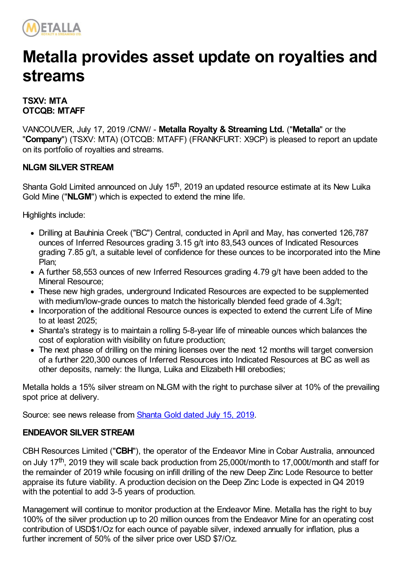

# **Metalla provides asset update on royalties and streams**

## **TSXV: MTA OTCQB: MTAFF**

VANCOUVER, July 17, 2019 /CNW/ - **Metalla Royalty & Streaming Ltd.** ("**Metalla**" or the "**Company**") (TSXV: MTA) (OTCQB: MTAFF) (FRANKFURT: X9CP) is pleased to report an update on its portfolio of royalties and streams.

## **NLGM SILVER STREAM**

Shanta Gold Limited announced on July 15<sup>th</sup>, 2019 an updated resource estimate at its New Luika Gold Mine ("**NLGM**") which is expected to extend the mine life.

Highlights include:

- Drilling at Bauhinia Creek ("BC") Central, conducted in April and May, has converted 126,787 ounces of Inferred Resources grading 3.15 g/t into 83,543 ounces of Indicated Resources grading 7.85 g/t, a suitable level of confidence for these ounces to be incorporated into the Mine Plan;
- A further 58,553 ounces of new Inferred Resources grading 4.79 g/t have been added to the Mineral Resource;
- These new high grades, underground Indicated Resources are expected to be supplemented with medium/low-grade ounces to match the historically blended feed grade of 4.3g/t;
- Incorporation of the additional Resource ounces is expected to extend the current Life of Mine to at least 2025;
- Shanta's strategy is to maintain a rolling 5-8-year life of mineable ounces which balances the cost of exploration with visibility on future production;
- The next phase of drilling on the mining licenses over the next 12 months will target conversion of a further 220,300 ounces of Inferred Resources into Indicated Resources at BC as well as other deposits, namely: the Ilunga, Luika and Elizabeth Hill orebodies;

Metalla holds a 15% silver stream on NLGM with the right to purchase silver at 10% of the prevailing spot price at delivery.

Source: see news release from **[Shanta](https://www.shantagold.com/_resources/New%20Luika%20Gold%20Mine%20Resource%20Upgrade.pdf) Gold dated July 15, 2019.** 

#### **ENDEAVOR SILVER STREAM**

CBH Resources Limited ("**CBH**"), the operator of the Endeavor Mine in Cobar Australia, announced on July 17<sup>th</sup>, 2019 they will scale back production from 25,000t/month to 17,000t/month and staff for the remainder of 2019 while focusing on infill drilling of the new Deep Zinc Lode Resource to better appraise its future viability. A production decision on the Deep Zinc Lode is expected in Q4 2019 with the potential to add 3-5 years of production.

Management will continue to monitor production at the Endeavor Mine. Metalla has the right to buy 100% of the silver production up to 20 million ounces from the Endeavor Mine for an operating cost contribution of USD\$1/Oz for each ounce of payable silver, indexed annually for inflation, plus a further increment of 50% of the silver price over USD \$7/Oz.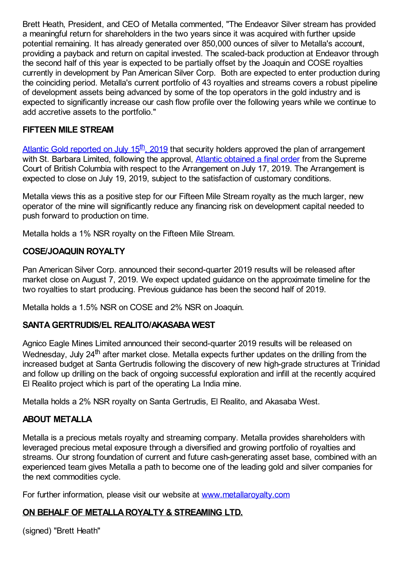Brett Heath, President, and CEO of Metalla commented, "The Endeavor Silver stream has provided a meaningful return for shareholders in the two years since it was acquired with further upside potential remaining. It has already generated over 850,000 ounces of silver to Metalla's account, providing a payback and return on capital invested. The scaled-back production at Endeavor through the second half of this year is expected to be partially offset by the Joaquin and COSE royalties currently in development by Pan American Silver Corp. Both are expected to enter production during the coinciding period. Metalla's current portfolio of 43 royalties and streams covers a robust pipeline of development assets being advanced by some of the top operators in the gold industry and is expected to significantly increase our cash flow profile over the following years while we continue to add accretive assets to the portfolio."

## **FIFTEEN MILE STREAM**

Atlantic Gold [reported](http://www.atlanticgoldcorporation.com/_resources/news/nr_2019_07_15.pdf) on July 15<sup>th</sup>, 2019 that security holders approved the plan of arrangement with St. Barbara Limited, following the approval, Atlantic [obtained](http://www.atlanticgoldcorporation.com/_resources/news/nr_2019_07_17.pdf) a final order from the Supreme Court of British Columbia with respect to the Arrangement on July 17, 2019. The Arrangement is expected to close on July 19, 2019, subject to the satisfaction of customary conditions.

Metalla views this as a positive step for our Fifteen Mile Stream royalty as the much larger, new operator of the mine will significantly reduce any financing risk on development capital needed to push forward to production on time.

Metalla holds a 1% NSR royalty on the Fifteen Mile Stream.

#### **COSE/JOAQUIN ROYALTY**

Pan American Silver Corp. announced their second-quarter 2019 results will be released after market close on August 7, 2019. We expect updated guidance on the approximate timeline for the two royalties to start producing. Previous guidance has been the second half of 2019.

Metalla holds a 1.5% NSR on COSE and 2% NSR on Joaquin.

#### **SANTAGERTRUDIS/EL REALITO/AKASABA WEST**

Agnico Eagle Mines Limited announced their second-quarter 2019 results will be released on Wednesday, July 24<sup>th</sup> after market close. Metalla expects further updates on the drilling from the increased budget at Santa Gertrudis following the discovery of new high-grade structures at Trinidad and follow up drilling on the back of ongoing successful exploration and infill at the recently acquired El Realito project which is part of the operating La India mine.

Metalla holds a 2% NSR royalty on Santa Gertrudis, El Realito, and Akasaba West.

#### **ABOUT METALLA**

Metalla is a precious metals royalty and streaming company. Metalla provides shareholders with leveraged precious metal exposure through a diversified and growing portfolio of royalties and streams. Our strong foundation of current and future cash-generating asset base, combined with an experienced team gives Metalla a path to become one of the leading gold and silver companies for the next commodities cycle.

For further information, please visit our website at [www.metallaroyalty.com](http://www.metallaroyalty.com/)

## **ON BEHALF OF METALLAROYALTY & STREAMING LTD.**

(signed) "Brett Heath"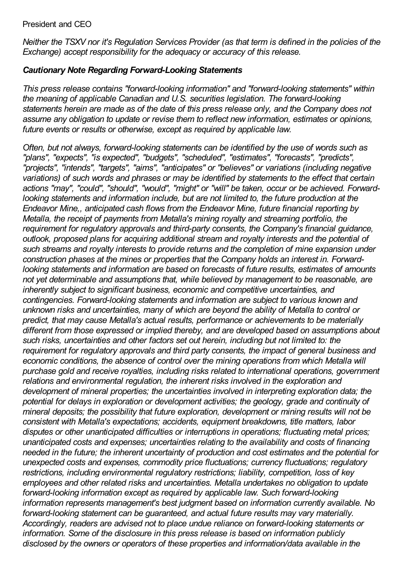#### President and CEO

Neither the TSXV nor it's Regulation Services Provider (as that term is defined in the policies of the *Exchange) accept responsibility for the adequacy or accuracy of this release.*

## *Cautionary Note Regarding Forward-Looking Statements*

*This press release contains "forward-looking information" and "forward-looking statements" within the meaning of applicable Canadian and U.S. securities legislation. The forward-looking statements herein are made as of the date of this press release only, and the Company does not assume any obligation to update or revise them to reflect new information, estimates or opinions, future events or results or otherwise, except as required by applicable law.*

*Often, but not always, forward-looking statements can be identified by the use of words such as "plans", "expects", "is expected", "budgets", "scheduled", "estimates", "forecasts", "predicts", "projects", "intends", "targets", "aims", "anticipates" or "believes" or variations (including negative variations) of such words and phrases or may be identified by statements to the effect that certain actions "may", "could", "should", "would", "might" or "will" be taken, occur or be achieved. Forwardlooking statements and information include, but are not limited to, the future production at the Endeavor Mine,, anticipated cash flows from the Endeavor Mine, future financial reporting by Metalla, the receipt of payments from Metalla's mining royalty and streaming portfolio, the requirement for regulatory approvals and third-party consents, the Company's financial guidance, outlook, proposed plans for acquiring additional stream and royalty interests and the potential of such streams and royalty interests to provide returns and the completion of mine expansion under construction phases at the mines or properties that the Company holds an interest in. Forwardlooking statements and information are based on forecasts of future results, estimates of amounts not yet determinable and assumptions that, while believed by management to be reasonable, are inherently subject to significant business, economic and competitive uncertainties, and contingencies. Forward-looking statements and information are subject to various known and unknown risks and uncertainties, many of which are beyond the ability of Metalla to control or predict, that may cause Metalla's actual results, performance or achievements to be materially different from those expressed or implied thereby, and are developed based on assumptions about such risks, uncertainties and other factors set out herein, including but not limited to: the requirement for regulatory approvals and third party consents, the impact of general business and economic conditions, the absence of control over the mining operations from which Metalla will purchase gold and receive royalties, including risks related to international operations, government relations and environmental regulation, the inherent risks involved in the exploration and development of mineral properties; the uncertainties involved in interpreting exploration data; the potential for delays in exploration or development activities; the geology, grade and continuity of mineral deposits; the possibility that future exploration, development or mining results will not be consistent with Metalla's expectations; accidents, equipment breakdowns, title matters, labor disputes or other unanticipated difficulties or interruptions in operations; fluctuating metal prices; unanticipated costs and expenses; uncertainties relating to the availability and costs of financing needed in the future; the inherent uncertainty of production and cost estimates and the potential for unexpected costs and expenses, commodity price fluctuations; currency fluctuations; regulatory restrictions, including environmental regulatory restrictions; liability, competition, loss of key employees and other related risks and uncertainties. Metalla undertakes no obligation to update forward-looking information except as required by applicable law. Such forward-looking information represents management's best judgment based on information currently available. No forward-looking statement can be guaranteed, and actual future results may vary materially. Accordingly, readers are advised not to place undue reliance on forward-looking statements or information. Some of the disclosure in this press release is based on information publicly disclosed by the owners or operators of these properties and information/data available in the*